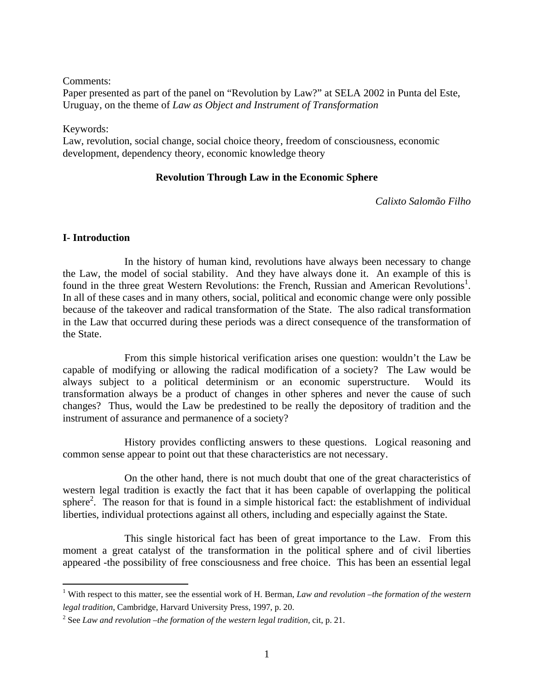Comments:

Paper presented as part of the panel on "Revolution by Law?" at SELA 2002 in Punta del Este, Uruguay, on the theme of *Law as Object and Instrument of Transformation*

Keywords:

Law, revolution, social change, social choice theory, freedom of consciousness, economic development, dependency theory, economic knowledge theory

## **Revolution Through Law in the Economic Sphere**

*Calixto Salomão Filho* 

### **I- Introduction**

 In the history of human kind, revolutions have always been necessary to change the Law, the model of social stability. And they have always done it. An example of this is found in the three great Western Revolutions: the French, Russian and American Revolutions<sup>1</sup>. In all of these cases and in many others, social, political and economic change were only possible because of the takeover and radical transformation of the State. The also radical transformation in the Law that occurred during these periods was a direct consequence of the transformation of the State.

 From this simple historical verification arises one question: wouldn't the Law be capable of modifying or allowing the radical modification of a society? The Law would be always subject to a political determinism or an economic superstructure. Would its transformation always be a product of changes in other spheres and never the cause of such changes? Thus, would the Law be predestined to be really the depository of tradition and the instrument of assurance and permanence of a society?

 History provides conflicting answers to these questions. Logical reasoning and common sense appear to point out that these characteristics are not necessary.

 On the other hand, there is not much doubt that one of the great characteristics of western legal tradition is exactly the fact that it has been capable of overlapping the political sphere<sup>2</sup>. The reason for that is found in a simple historical fact: the establishment of individual liberties, individual protections against all others, including and especially against the State.

 This single historical fact has been of great importance to the Law. From this moment a great catalyst of the transformation in the political sphere and of civil liberties appeared -the possibility of free consciousness and free choice. This has been an essential legal

 1 With respect to this matter, see the essential work of H. Berman, *Law and revolution –the formation of the western legal tradition*, Cambridge, Harvard University Press, 1997, p. 20.

<sup>2</sup> See *Law and revolution –the formation of the western legal tradition,* cit, p. 21.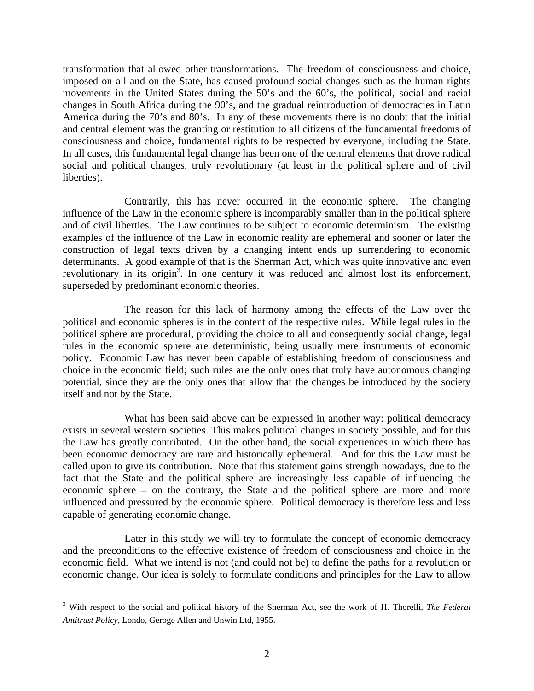transformation that allowed other transformations. The freedom of consciousness and choice, imposed on all and on the State, has caused profound social changes such as the human rights movements in the United States during the 50's and the 60's, the political, social and racial changes in South Africa during the 90's, and the gradual reintroduction of democracies in Latin America during the 70's and 80's. In any of these movements there is no doubt that the initial and central element was the granting or restitution to all citizens of the fundamental freedoms of consciousness and choice, fundamental rights to be respected by everyone, including the State. In all cases, this fundamental legal change has been one of the central elements that drove radical social and political changes, truly revolutionary (at least in the political sphere and of civil liberties).

 Contrarily, this has never occurred in the economic sphere. The changing influence of the Law in the economic sphere is incomparably smaller than in the political sphere and of civil liberties. The Law continues to be subject to economic determinism. The existing examples of the influence of the Law in economic reality are ephemeral and sooner or later the construction of legal texts driven by a changing intent ends up surrendering to economic determinants. A good example of that is the Sherman Act, which was quite innovative and even revolutionary in its origin<sup>3</sup>. In one century it was reduced and almost lost its enforcement, superseded by predominant economic theories.

 The reason for this lack of harmony among the effects of the Law over the political and economic spheres is in the content of the respective rules. While legal rules in the political sphere are procedural, providing the choice to all and consequently social change, legal rules in the economic sphere are deterministic, being usually mere instruments of economic policy. Economic Law has never been capable of establishing freedom of consciousness and choice in the economic field; such rules are the only ones that truly have autonomous changing potential, since they are the only ones that allow that the changes be introduced by the society itself and not by the State.

 What has been said above can be expressed in another way: political democracy exists in several western societies. This makes political changes in society possible, and for this the Law has greatly contributed. On the other hand, the social experiences in which there has been economic democracy are rare and historically ephemeral. And for this the Law must be called upon to give its contribution. Note that this statement gains strength nowadays, due to the fact that the State and the political sphere are increasingly less capable of influencing the economic sphere – on the contrary, the State and the political sphere are more and more influenced and pressured by the economic sphere. Political democracy is therefore less and less capable of generating economic change.

 Later in this study we will try to formulate the concept of economic democracy and the preconditions to the effective existence of freedom of consciousness and choice in the economic field. What we intend is not (and could not be) to define the paths for a revolution or economic change. Our idea is solely to formulate conditions and principles for the Law to allow

<sup>3</sup> With respect to the social and political history of the Sherman Act, see the work of H. Thorelli, *The Federal Antitrust Policy*, Londo, Geroge Allen and Unwin Ltd, 1955.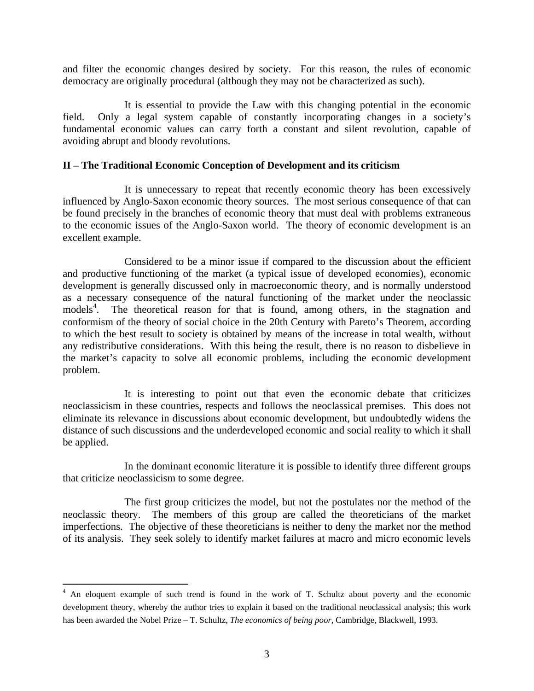and filter the economic changes desired by society. For this reason, the rules of economic democracy are originally procedural (although they may not be characterized as such).

 It is essential to provide the Law with this changing potential in the economic field. Only a legal system capable of constantly incorporating changes in a society's fundamental economic values can carry forth a constant and silent revolution, capable of avoiding abrupt and bloody revolutions.

#### **II – The Traditional Economic Conception of Development and its criticism**

 It is unnecessary to repeat that recently economic theory has been excessively influenced by Anglo-Saxon economic theory sources. The most serious consequence of that can be found precisely in the branches of economic theory that must deal with problems extraneous to the economic issues of the Anglo-Saxon world. The theory of economic development is an excellent example.

 Considered to be a minor issue if compared to the discussion about the efficient and productive functioning of the market (a typical issue of developed economies), economic development is generally discussed only in macroeconomic theory, and is normally understood as a necessary consequence of the natural functioning of the market under the neoclassic models<sup>4</sup>. The theoretical reason for that is found, among others, in the stagnation and conformism of the theory of social choice in the 20th Century with Pareto's Theorem, according to which the best result to society is obtained by means of the increase in total wealth, without any redistributive considerations. With this being the result, there is no reason to disbelieve in the market's capacity to solve all economic problems, including the economic development problem.

 It is interesting to point out that even the economic debate that criticizes neoclassicism in these countries, respects and follows the neoclassical premises. This does not eliminate its relevance in discussions about economic development, but undoubtedly widens the distance of such discussions and the underdeveloped economic and social reality to which it shall be applied.

 In the dominant economic literature it is possible to identify three different groups that criticize neoclassicism to some degree.

 The first group criticizes the model, but not the postulates nor the method of the neoclassic theory. The members of this group are called the theoreticians of the market imperfections. The objective of these theoreticians is neither to deny the market nor the method of its analysis. They seek solely to identify market failures at macro and micro economic levels

 4 An eloquent example of such trend is found in the work of T. Schultz about poverty and the economic development theory, whereby the author tries to explain it based on the traditional neoclassical analysis; this work has been awarded the Nobel Prize – T. Schultz, *The economics of being poor*, Cambridge, Blackwell, 1993.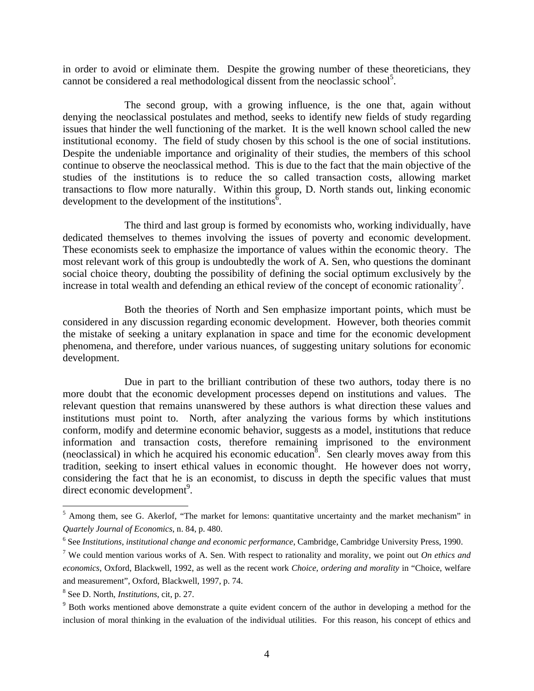in order to avoid or eliminate them. Despite the growing number of these theoreticians, they cannot be considered a real methodological dissent from the neoclassic school<sup>5</sup>.

 The second group, with a growing influence, is the one that, again without denying the neoclassical postulates and method, seeks to identify new fields of study regarding issues that hinder the well functioning of the market. It is the well known school called the new institutional economy. The field of study chosen by this school is the one of social institutions. Despite the undeniable importance and originality of their studies, the members of this school continue to observe the neoclassical method. This is due to the fact that the main objective of the studies of the institutions is to reduce the so called transaction costs, allowing market transactions to flow more naturally. Within this group, D. North stands out, linking economic development to the development of the institutions<sup> $\bar{6}$ </sup>.

 The third and last group is formed by economists who, working individually, have dedicated themselves to themes involving the issues of poverty and economic development. These economists seek to emphasize the importance of values within the economic theory. The most relevant work of this group is undoubtedly the work of A. Sen, who questions the dominant social choice theory, doubting the possibility of defining the social optimum exclusively by the increase in total wealth and defending an ethical review of the concept of economic rationality<sup>7</sup>.

 Both the theories of North and Sen emphasize important points, which must be considered in any discussion regarding economic development. However, both theories commit the mistake of seeking a unitary explanation in space and time for the economic development phenomena, and therefore, under various nuances, of suggesting unitary solutions for economic development.

 Due in part to the brilliant contribution of these two authors, today there is no more doubt that the economic development processes depend on institutions and values. The relevant question that remains unanswered by these authors is what direction these values and institutions must point to. North, after analyzing the various forms by which institutions conform, modify and determine economic behavior, suggests as a model, institutions that reduce information and transaction costs, therefore remaining imprisoned to the environment (neoclassical) in which he acquired his economic education<sup>8</sup>. Sen clearly moves away from this tradition, seeking to insert ethical values in economic thought. He however does not worry, considering the fact that he is an economist, to discuss in depth the specific values that must direct economic development<sup>9</sup>.

<sup>&</sup>lt;sup>5</sup> Among them, see G. Akerlof, "The market for lemons: quantitative uncertainty and the market mechanism" in *Quartely Journal of Economics*, n. 84, p. 480.

<sup>6</sup> See *Institutions, institutional change and economic performance*, Cambridge, Cambridge University Press, 1990.

<sup>7</sup> We could mention various works of A. Sen. With respect to rationality and morality, we point out *On ethics and economics*, Oxford, Blackwell, 1992, as well as the recent work *Choice, ordering and morality* in "Choice, welfare and measurement", Oxford, Blackwell, 1997, p. 74.

<sup>8</sup> See D. North, *Institutions*, cit, p. 27.

<sup>&</sup>lt;sup>9</sup> Both works mentioned above demonstrate a quite evident concern of the author in developing a method for the inclusion of moral thinking in the evaluation of the individual utilities. For this reason, his concept of ethics and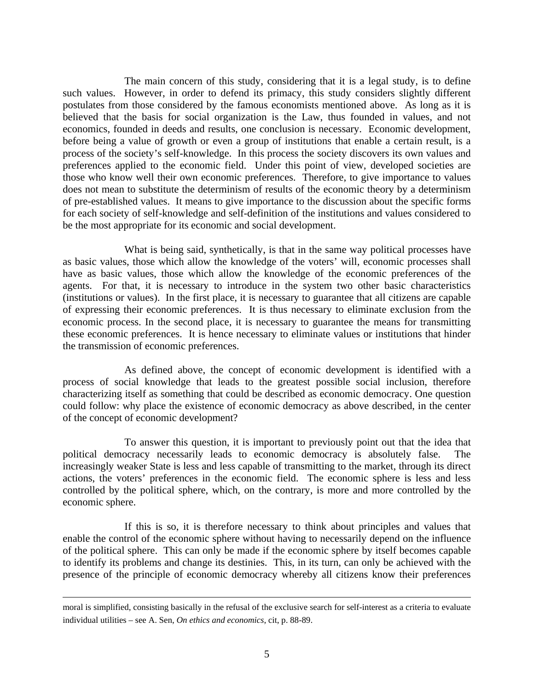The main concern of this study, considering that it is a legal study, is to define such values. However, in order to defend its primacy, this study considers slightly different postulates from those considered by the famous economists mentioned above. As long as it is believed that the basis for social organization is the Law, thus founded in values, and not economics, founded in deeds and results, one conclusion is necessary. Economic development, before being a value of growth or even a group of institutions that enable a certain result, is a process of the society's self-knowledge. In this process the society discovers its own values and preferences applied to the economic field. Under this point of view, developed societies are those who know well their own economic preferences. Therefore, to give importance to values does not mean to substitute the determinism of results of the economic theory by a determinism of pre-established values. It means to give importance to the discussion about the specific forms for each society of self-knowledge and self-definition of the institutions and values considered to be the most appropriate for its economic and social development.

 What is being said, synthetically, is that in the same way political processes have as basic values, those which allow the knowledge of the voters' will, economic processes shall have as basic values, those which allow the knowledge of the economic preferences of the agents. For that, it is necessary to introduce in the system two other basic characteristics (institutions or values). In the first place, it is necessary to guarantee that all citizens are capable of expressing their economic preferences. It is thus necessary to eliminate exclusion from the economic process. In the second place, it is necessary to guarantee the means for transmitting these economic preferences. It is hence necessary to eliminate values or institutions that hinder the transmission of economic preferences.

 As defined above, the concept of economic development is identified with a process of social knowledge that leads to the greatest possible social inclusion, therefore characterizing itself as something that could be described as economic democracy. One question could follow: why place the existence of economic democracy as above described, in the center of the concept of economic development?

 To answer this question, it is important to previously point out that the idea that political democracy necessarily leads to economic democracy is absolutely false. increasingly weaker State is less and less capable of transmitting to the market, through its direct actions, the voters' preferences in the economic field. The economic sphere is less and less controlled by the political sphere, which, on the contrary, is more and more controlled by the economic sphere.

 If this is so, it is therefore necessary to think about principles and values that enable the control of the economic sphere without having to necessarily depend on the influence of the political sphere. This can only be made if the economic sphere by itself becomes capable to identify its problems and change its destinies. This, in its turn, can only be achieved with the presence of the principle of economic democracy whereby all citizens know their preferences

moral is simplified, consisting basically in the refusal of the exclusive search for self-interest as a criteria to evaluate individual utilities – see A. Sen, *On ethics and economics*, cit, p. 88-89.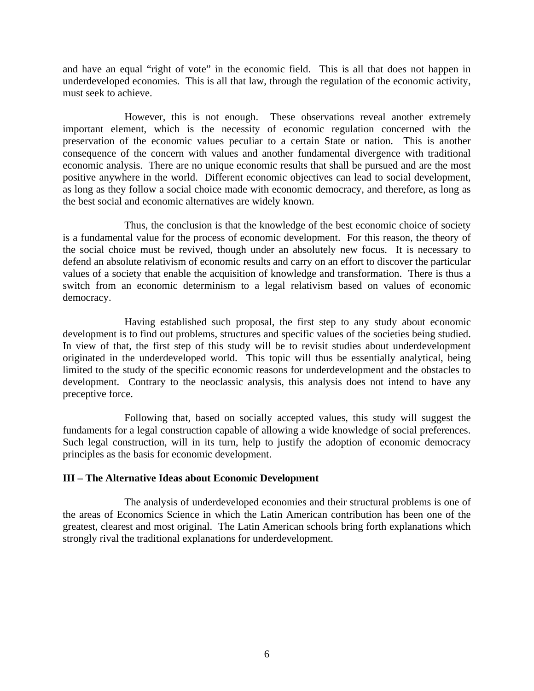and have an equal "right of vote" in the economic field. This is all that does not happen in underdeveloped economies. This is all that law, through the regulation of the economic activity, must seek to achieve.

 However, this is not enough. These observations reveal another extremely important element, which is the necessity of economic regulation concerned with the preservation of the economic values peculiar to a certain State or nation. This is another consequence of the concern with values and another fundamental divergence with traditional economic analysis. There are no unique economic results that shall be pursued and are the most positive anywhere in the world. Different economic objectives can lead to social development, as long as they follow a social choice made with economic democracy, and therefore, as long as the best social and economic alternatives are widely known.

 Thus, the conclusion is that the knowledge of the best economic choice of society is a fundamental value for the process of economic development. For this reason, the theory of the social choice must be revived, though under an absolutely new focus. It is necessary to defend an absolute relativism of economic results and carry on an effort to discover the particular values of a society that enable the acquisition of knowledge and transformation. There is thus a switch from an economic determinism to a legal relativism based on values of economic democracy.

 Having established such proposal, the first step to any study about economic development is to find out problems, structures and specific values of the societies being studied. In view of that, the first step of this study will be to revisit studies about underdevelopment originated in the underdeveloped world. This topic will thus be essentially analytical, being limited to the study of the specific economic reasons for underdevelopment and the obstacles to development. Contrary to the neoclassic analysis, this analysis does not intend to have any preceptive force.

 Following that, based on socially accepted values, this study will suggest the fundaments for a legal construction capable of allowing a wide knowledge of social preferences. Such legal construction, will in its turn, help to justify the adoption of economic democracy principles as the basis for economic development.

### **III – The Alternative Ideas about Economic Development**

 The analysis of underdeveloped economies and their structural problems is one of the areas of Economics Science in which the Latin American contribution has been one of the greatest, clearest and most original. The Latin American schools bring forth explanations which strongly rival the traditional explanations for underdevelopment.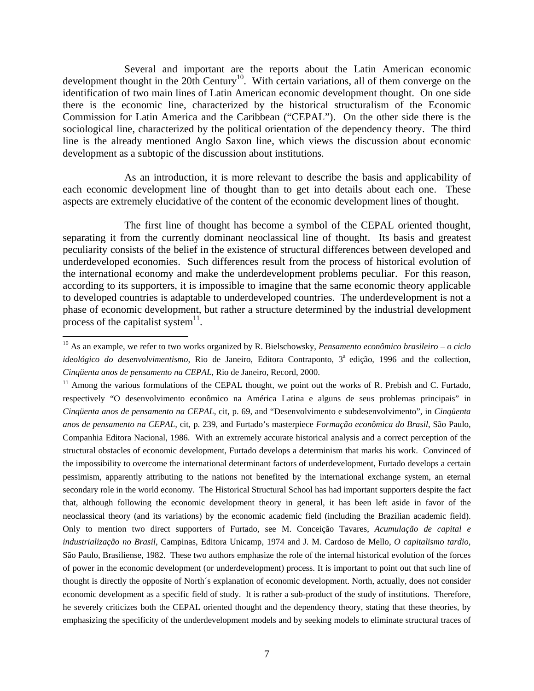Several and important are the reports about the Latin American economic development thought in the 20th Century<sup>10</sup>. With certain variations, all of them converge on the identification of two main lines of Latin American economic development thought. On one side there is the economic line, characterized by the historical structuralism of the Economic Commission for Latin America and the Caribbean ("CEPAL"). On the other side there is the sociological line, characterized by the political orientation of the dependency theory. The third line is the already mentioned Anglo Saxon line, which views the discussion about economic development as a subtopic of the discussion about institutions.

 As an introduction, it is more relevant to describe the basis and applicability of each economic development line of thought than to get into details about each one. These aspects are extremely elucidative of the content of the economic development lines of thought.

 The first line of thought has become a symbol of the CEPAL oriented thought, separating it from the currently dominant neoclassical line of thought. Its basis and greatest peculiarity consists of the belief in the existence of structural differences between developed and underdeveloped economies. Such differences result from the process of historical evolution of the international economy and make the underdevelopment problems peculiar. For this reason, according to its supporters, it is impossible to imagine that the same economic theory applicable to developed countries is adaptable to underdeveloped countries. The underdevelopment is not a phase of economic development, but rather a structure determined by the industrial development process of the capitalist system $\mathbf{1}^{\text{1}}$ .

1

<sup>10</sup> As an example, we refer to two works organized by R. Bielschowsky, *Pensamento econômico brasileiro – o ciclo ideológico do desenvolvimentismo*, Rio de Janeiro, Editora Contraponto, 3<sup>ª</sup> edição, 1996 and the collection, *Cinqüenta anos de pensamento na CEPAL,* Rio de Janeiro, Record, 2000.

 $11$  Among the various formulations of the CEPAL thought, we point out the works of R. Prebish and C. Furtado, respectively "O desenvolvimento econômico na América Latina e alguns de seus problemas principais" in *Cinqüenta anos de pensamento na CEPAL,* cit, p. 69, and "Desenvolvimento e subdesenvolvimento", in *Cinqüenta anos de pensamento na CEPAL,* cit, p. 239, and Furtado's masterpiece *Formação econômica do Brasil*, São Paulo, Companhia Editora Nacional, 1986. With an extremely accurate historical analysis and a correct perception of the structural obstacles of economic development, Furtado develops a determinism that marks his work. Convinced of the impossibility to overcome the international determinant factors of underdevelopment, Furtado develops a certain pessimism, apparently attributing to the nations not benefited by the international exchange system, an eternal secondary role in the world economy. The Historical Structural School has had important supporters despite the fact that, although following the economic development theory in general, it has been left aside in favor of the neoclassical theory (and its variations) by the economic academic field (including the Brazilian academic field). Only to mention two direct supporters of Furtado, see M. Conceição Tavares, *Acumulação de capital e industrialização no Brasil*, Campinas, Editora Unicamp, 1974 and J. M. Cardoso de Mello, *O capitalismo tardio,*  São Paulo, Brasiliense, 1982. These two authors emphasize the role of the internal historical evolution of the forces of power in the economic development (or underdevelopment) process. It is important to point out that such line of thought is directly the opposite of North´s explanation of economic development. North, actually, does not consider economic development as a specific field of study. It is rather a sub-product of the study of institutions. Therefore, he severely criticizes both the CEPAL oriented thought and the dependency theory, stating that these theories, by emphasizing the specificity of the underdevelopment models and by seeking models to eliminate structural traces of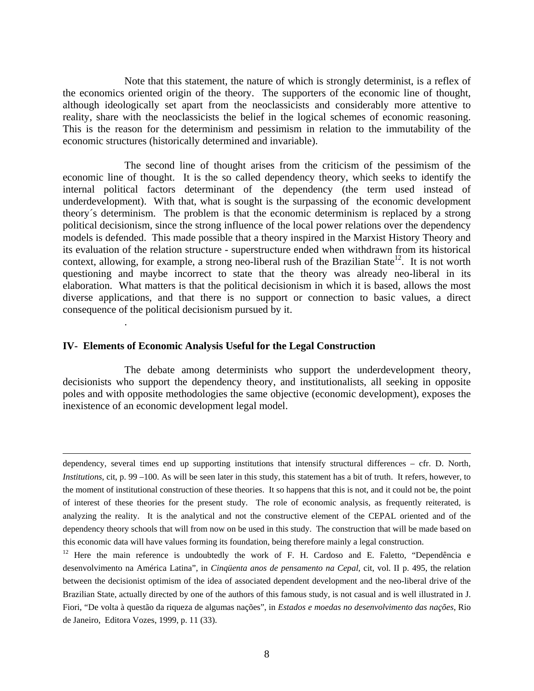Note that this statement, the nature of which is strongly determinist, is a reflex of the economics oriented origin of the theory. The supporters of the economic line of thought, although ideologically set apart from the neoclassicists and considerably more attentive to reality, share with the neoclassicists the belief in the logical schemes of economic reasoning. This is the reason for the determinism and pessimism in relation to the immutability of the economic structures (historically determined and invariable).

 The second line of thought arises from the criticism of the pessimism of the economic line of thought. It is the so called dependency theory, which seeks to identify the internal political factors determinant of the dependency (the term used instead of underdevelopment). With that, what is sought is the surpassing of the economic development theory´s determinism. The problem is that the economic determinism is replaced by a strong political decisionism, since the strong influence of the local power relations over the dependency models is defended. This made possible that a theory inspired in the Marxist History Theory and its evaluation of the relation structure - superstructure ended when withdrawn from its historical context, allowing, for example, a strong neo-liberal rush of the Brazilian State<sup>12</sup>. It is not worth questioning and maybe incorrect to state that the theory was already neo-liberal in its elaboration. What matters is that the political decisionism in which it is based, allows the most diverse applications, and that there is no support or connection to basic values, a direct consequence of the political decisionism pursued by it.

#### **IV- Elements of Economic Analysis Useful for the Legal Construction**

.

 The debate among determinists who support the underdevelopment theory, decisionists who support the dependency theory, and institutionalists, all seeking in opposite poles and with opposite methodologies the same objective (economic development), exposes the inexistence of an economic development legal model.

dependency, several times end up supporting institutions that intensify structural differences – cfr. D. North, *Institutions*, cit, p. 99 –100. As will be seen later in this study, this statement has a bit of truth. It refers, however, to the moment of institutional construction of these theories. It so happens that this is not, and it could not be, the point of interest of these theories for the present study. The role of economic analysis, as frequently reiterated, is analyzing the reality. It is the analytical and not the constructive element of the CEPAL oriented and of the dependency theory schools that will from now on be used in this study. The construction that will be made based on this economic data will have values forming its foundation, being therefore mainly a legal construction.

<sup>&</sup>lt;sup>12</sup> Here the main reference is undoubtedly the work of F. H. Cardoso and E. Faletto, "Dependência e desenvolvimento na América Latina", in *Cinqüenta anos de pensamento na Cepal*, cit, vol. II p. 495, the relation between the decisionist optimism of the idea of associated dependent development and the neo-liberal drive of the Brazilian State, actually directed by one of the authors of this famous study, is not casual and is well illustrated in J. Fiori, "De volta à questão da riqueza de algumas nações", in *Estados e moedas no desenvolvimento das nações*, Rio de Janeiro, Editora Vozes, 1999, p. 11 (33).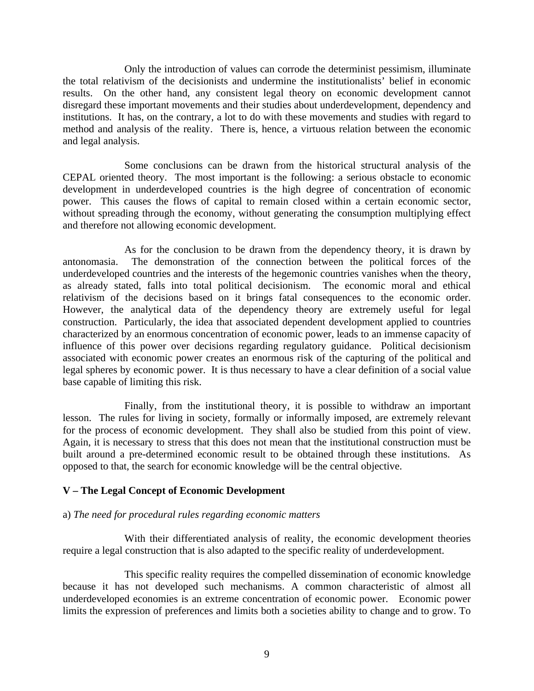Only the introduction of values can corrode the determinist pessimism, illuminate the total relativism of the decisionists and undermine the institutionalists' belief in economic results. On the other hand, any consistent legal theory on economic development cannot disregard these important movements and their studies about underdevelopment, dependency and institutions. It has, on the contrary, a lot to do with these movements and studies with regard to method and analysis of the reality. There is, hence, a virtuous relation between the economic and legal analysis.

 Some conclusions can be drawn from the historical structural analysis of the CEPAL oriented theory. The most important is the following: a serious obstacle to economic development in underdeveloped countries is the high degree of concentration of economic power. This causes the flows of capital to remain closed within a certain economic sector, without spreading through the economy, without generating the consumption multiplying effect and therefore not allowing economic development.

 As for the conclusion to be drawn from the dependency theory, it is drawn by antonomasia. The demonstration of the connection between the political forces of the underdeveloped countries and the interests of the hegemonic countries vanishes when the theory, as already stated, falls into total political decisionism. The economic moral and ethical relativism of the decisions based on it brings fatal consequences to the economic order. However, the analytical data of the dependency theory are extremely useful for legal construction. Particularly, the idea that associated dependent development applied to countries characterized by an enormous concentration of economic power, leads to an immense capacity of influence of this power over decisions regarding regulatory guidance. Political decisionism associated with economic power creates an enormous risk of the capturing of the political and legal spheres by economic power. It is thus necessary to have a clear definition of a social value base capable of limiting this risk.

 Finally, from the institutional theory, it is possible to withdraw an important lesson. The rules for living in society, formally or informally imposed, are extremely relevant for the process of economic development. They shall also be studied from this point of view. Again, it is necessary to stress that this does not mean that the institutional construction must be built around a pre-determined economic result to be obtained through these institutions. As opposed to that, the search for economic knowledge will be the central objective.

### **V – The Legal Concept of Economic Development**

### a) *The need for procedural rules regarding economic matters*

 With their differentiated analysis of reality, the economic development theories require a legal construction that is also adapted to the specific reality of underdevelopment.

 This specific reality requires the compelled dissemination of economic knowledge because it has not developed such mechanisms. A common characteristic of almost all underdeveloped economies is an extreme concentration of economic power. Economic power limits the expression of preferences and limits both a societies ability to change and to grow. To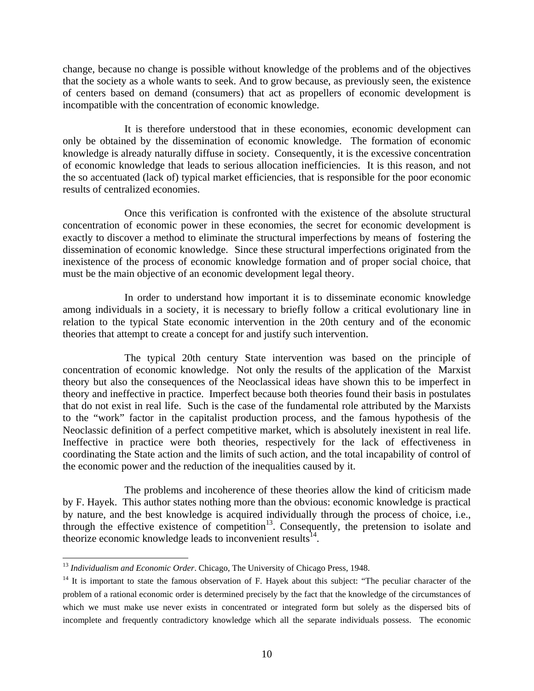change, because no change is possible without knowledge of the problems and of the objectives that the society as a whole wants to seek. And to grow because, as previously seen, the existence of centers based on demand (consumers) that act as propellers of economic development is incompatible with the concentration of economic knowledge.

 It is therefore understood that in these economies, economic development can only be obtained by the dissemination of economic knowledge. The formation of economic knowledge is already naturally diffuse in society. Consequently, it is the excessive concentration of economic knowledge that leads to serious allocation inefficiencies. It is this reason, and not the so accentuated (lack of) typical market efficiencies, that is responsible for the poor economic results of centralized economies.

 Once this verification is confronted with the existence of the absolute structural concentration of economic power in these economies, the secret for economic development is exactly to discover a method to eliminate the structural imperfections by means of fostering the dissemination of economic knowledge. Since these structural imperfections originated from the inexistence of the process of economic knowledge formation and of proper social choice, that must be the main objective of an economic development legal theory.

 In order to understand how important it is to disseminate economic knowledge among individuals in a society, it is necessary to briefly follow a critical evolutionary line in relation to the typical State economic intervention in the 20th century and of the economic theories that attempt to create a concept for and justify such intervention.

 The typical 20th century State intervention was based on the principle of concentration of economic knowledge. Not only the results of the application of the Marxist theory but also the consequences of the Neoclassical ideas have shown this to be imperfect in theory and ineffective in practice. Imperfect because both theories found their basis in postulates that do not exist in real life. Such is the case of the fundamental role attributed by the Marxists to the "work" factor in the capitalist production process, and the famous hypothesis of the Neoclassic definition of a perfect competitive market, which is absolutely inexistent in real life. Ineffective in practice were both theories, respectively for the lack of effectiveness in coordinating the State action and the limits of such action, and the total incapability of control of the economic power and the reduction of the inequalities caused by it.

 The problems and incoherence of these theories allow the kind of criticism made by F. Hayek. This author states nothing more than the obvious: economic knowledge is practical by nature, and the best knowledge is acquired individually through the process of choice, i.e., through the effective existence of competition<sup>13</sup>. Consequently, the pretension to isolate and theorize economic knowledge leads to inconvenient results $^{14}$ .

 $\overline{a}$ <sup>13</sup> Individualism and Economic Order. Chicago, The University of Chicago Press, 1948.

 $14$  It is important to state the famous observation of F. Hayek about this subject: "The peculiar character of the problem of a rational economic order is determined precisely by the fact that the knowledge of the circumstances of which we must make use never exists in concentrated or integrated form but solely as the dispersed bits of incomplete and frequently contradictory knowledge which all the separate individuals possess. The economic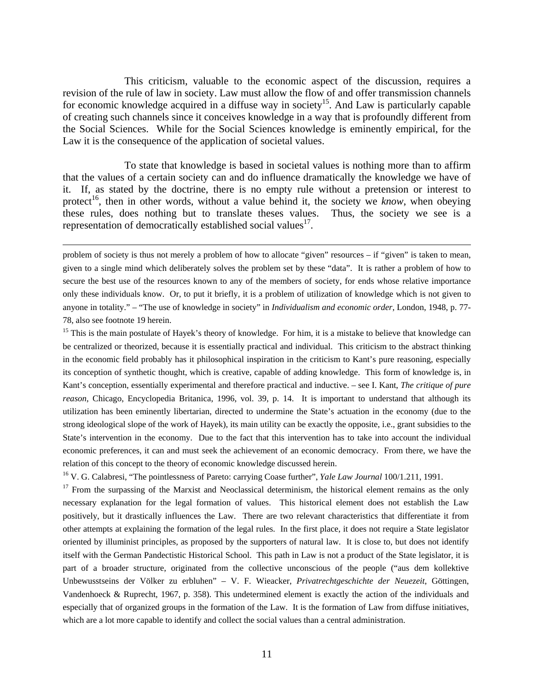This criticism, valuable to the economic aspect of the discussion, requires a revision of the rule of law in society. Law must allow the flow of and offer transmission channels for economic knowledge acquired in a diffuse way in society<sup>15</sup>. And Law is particularly capable of creating such channels since it conceives knowledge in a way that is profoundly different from the Social Sciences. While for the Social Sciences knowledge is eminently empirical, for the Law it is the consequence of the application of societal values.

 To state that knowledge is based in societal values is nothing more than to affirm that the values of a certain society can and do influence dramatically the knowledge we have of it. If, as stated by the doctrine, there is no empty rule without a pretension or interest to protect<sup>16</sup>, then in other words, without a value behind it, the society we *know*, when obeying these rules, does nothing but to translate theses values. Thus, the society we see is a representation of democratically established social values $^{17}$ .

 problem of society is thus not merely a problem of how to allocate "given" resources – if "given" is taken to mean, given to a single mind which deliberately solves the problem set by these "data". It is rather a problem of how to secure the best use of the resources known to any of the members of society, for ends whose relative importance only these individuals know. Or, to put it briefly, it is a problem of utilization of knowledge which is not given to anyone in totality." – "The use of knowledge in society" in *Individualism and economic order*, London, 1948, p. 77- 78, also see footnote 19 herein.

<sup>15</sup> This is the main postulate of Hayek's theory of knowledge. For him, it is a mistake to believe that knowledge can be centralized or theorized, because it is essentially practical and individual. This criticism to the abstract thinking in the economic field probably has it philosophical inspiration in the criticism to Kant's pure reasoning, especially its conception of synthetic thought, which is creative, capable of adding knowledge. This form of knowledge is, in Kant's conception, essentially experimental and therefore practical and inductive. – see I. Kant, *The critique of pure reason*, Chicago, Encyclopedia Britanica, 1996, vol. 39, p. 14. It is important to understand that although its utilization has been eminently libertarian, directed to undermine the State's actuation in the economy (due to the strong ideological slope of the work of Hayek), its main utility can be exactly the opposite, i.e., grant subsidies to the State's intervention in the economy. Due to the fact that this intervention has to take into account the individual economic preferences, it can and must seek the achievement of an economic democracy. From there, we have the relation of this concept to the theory of economic knowledge discussed herein.

16 V. G. Calabresi, "The pointlessness of Pareto: carrying Coase further", *Yale Law Journal* 100/1.211, 1991.

 $17$  From the surpassing of the Marxist and Neoclassical determinism, the historical element remains as the only necessary explanation for the legal formation of values. This historical element does not establish the Law positively, but it drastically influences the Law. There are two relevant characteristics that differentiate it from other attempts at explaining the formation of the legal rules. In the first place, it does not require a State legislator oriented by illuminist principles, as proposed by the supporters of natural law. It is close to, but does not identify itself with the German Pandectistic Historical School. This path in Law is not a product of the State legislator, it is part of a broader structure, originated from the collective unconscious of the people ("aus dem kollektive Unbewusstseins der Völker zu erbluhen" – V. F. Wieacker, *Privatrechtgeschichte der Neuezeit*, Göttingen, Vandenhoeck & Ruprecht, 1967, p. 358). This undetermined element is exactly the action of the individuals and especially that of organized groups in the formation of the Law. It is the formation of Law from diffuse initiatives, which are a lot more capable to identify and collect the social values than a central administration.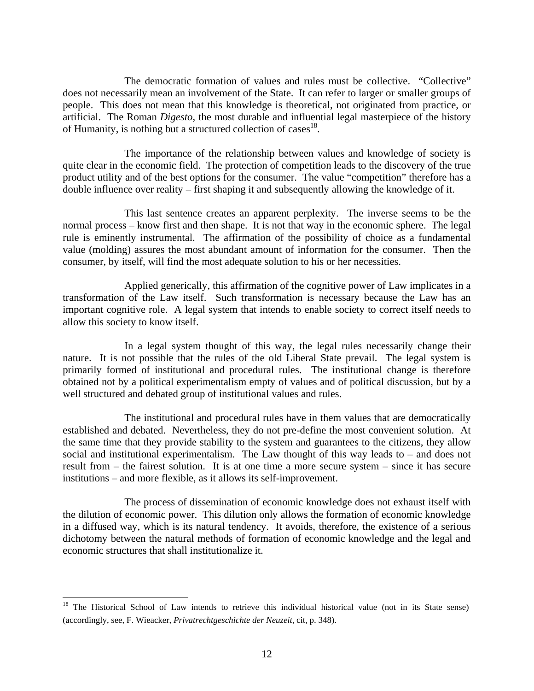The democratic formation of values and rules must be collective. "Collective" does not necessarily mean an involvement of the State. It can refer to larger or smaller groups of people. This does not mean that this knowledge is theoretical, not originated from practice, or artificial. The Roman *Digesto*, the most durable and influential legal masterpiece of the history of Humanity, is nothing but a structured collection of cases<sup>18</sup>.

 The importance of the relationship between values and knowledge of society is quite clear in the economic field. The protection of competition leads to the discovery of the true product utility and of the best options for the consumer. The value "competition" therefore has a double influence over reality – first shaping it and subsequently allowing the knowledge of it.

 This last sentence creates an apparent perplexity. The inverse seems to be the normal process – know first and then shape. It is not that way in the economic sphere. The legal rule is eminently instrumental. The affirmation of the possibility of choice as a fundamental value (molding) assures the most abundant amount of information for the consumer. Then the consumer, by itself, will find the most adequate solution to his or her necessities.

 Applied generically, this affirmation of the cognitive power of Law implicates in a transformation of the Law itself. Such transformation is necessary because the Law has an important cognitive role. A legal system that intends to enable society to correct itself needs to allow this society to know itself.

 In a legal system thought of this way, the legal rules necessarily change their nature. It is not possible that the rules of the old Liberal State prevail. The legal system is primarily formed of institutional and procedural rules. The institutional change is therefore obtained not by a political experimentalism empty of values and of political discussion, but by a well structured and debated group of institutional values and rules.

 The institutional and procedural rules have in them values that are democratically established and debated. Nevertheless, they do not pre-define the most convenient solution. At the same time that they provide stability to the system and guarantees to the citizens, they allow social and institutional experimentalism. The Law thought of this way leads to – and does not result from – the fairest solution. It is at one time a more secure system – since it has secure institutions – and more flexible, as it allows its self-improvement.

 The process of dissemination of economic knowledge does not exhaust itself with the dilution of economic power. This dilution only allows the formation of economic knowledge in a diffused way, which is its natural tendency. It avoids, therefore, the existence of a serious dichotomy between the natural methods of formation of economic knowledge and the legal and economic structures that shall institutionalize it.

<sup>&</sup>lt;sup>18</sup> The Historical School of Law intends to retrieve this individual historical value (not in its State sense) (accordingly, see, F. Wieacker, *Privatrechtgeschichte der Neuzeit*, cit, p. 348).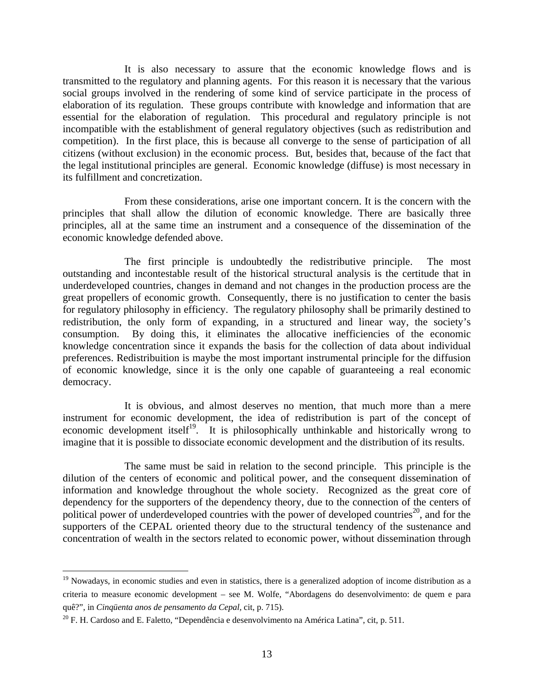It is also necessary to assure that the economic knowledge flows and is transmitted to the regulatory and planning agents. For this reason it is necessary that the various social groups involved in the rendering of some kind of service participate in the process of elaboration of its regulation. These groups contribute with knowledge and information that are essential for the elaboration of regulation. This procedural and regulatory principle is not incompatible with the establishment of general regulatory objectives (such as redistribution and competition). In the first place, this is because all converge to the sense of participation of all citizens (without exclusion) in the economic process. But, besides that, because of the fact that the legal institutional principles are general. Economic knowledge (diffuse) is most necessary in its fulfillment and concretization.

 From these considerations, arise one important concern. It is the concern with the principles that shall allow the dilution of economic knowledge. There are basically three principles, all at the same time an instrument and a consequence of the dissemination of the economic knowledge defended above.

 The first principle is undoubtedly the redistributive principle. The most outstanding and incontestable result of the historical structural analysis is the certitude that in underdeveloped countries, changes in demand and not changes in the production process are the great propellers of economic growth. Consequently, there is no justification to center the basis for regulatory philosophy in efficiency. The regulatory philosophy shall be primarily destined to redistribution, the only form of expanding, in a structured and linear way, the society's consumption. By doing this, it eliminates the allocative inefficiencies of the economic knowledge concentration since it expands the basis for the collection of data about individual preferences. Redistribuition is maybe the most important instrumental principle for the diffusion of economic knowledge, since it is the only one capable of guaranteeing a real economic democracy.

 It is obvious, and almost deserves no mention, that much more than a mere instrument for economic development, the idea of redistribution is part of the concept of economic development itself<sup>19</sup>. It is philosophically unthinkable and historically wrong to imagine that it is possible to dissociate economic development and the distribution of its results.

 The same must be said in relation to the second principle. This principle is the dilution of the centers of economic and political power, and the consequent dissemination of information and knowledge throughout the whole society. Recognized as the great core of dependency for the supporters of the dependency theory, due to the connection of the centers of political power of underdeveloped countries with the power of developed countries<sup>20</sup>, and for the supporters of the CEPAL oriented theory due to the structural tendency of the sustenance and concentration of wealth in the sectors related to economic power, without dissemination through

<sup>&</sup>lt;sup>19</sup> Nowadays, in economic studies and even in statistics, there is a generalized adoption of income distribution as a criteria to measure economic development – see M. Wolfe, "Abordagens do desenvolvimento: de quem e para quê?", in *Cinqüenta anos de pensamento da Cepal,* cit, p. 715).

 $20$  F. H. Cardoso and E. Faletto, "Dependência e desenvolvimento na América Latina", cit, p. 511.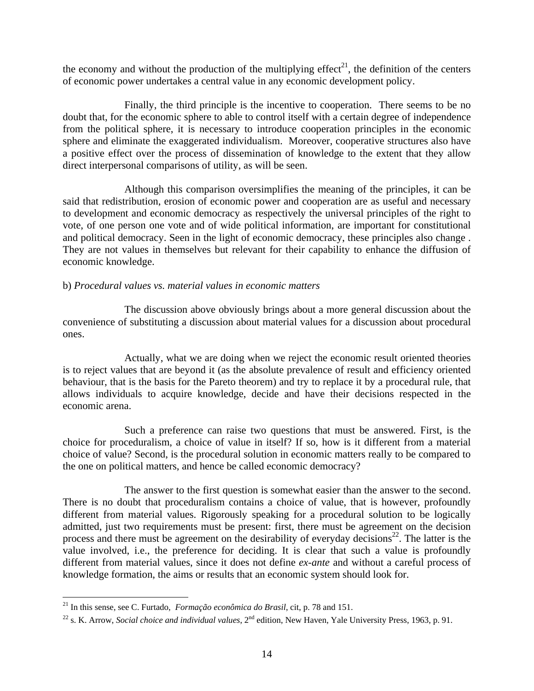the economy and without the production of the multiplying effect<sup>21</sup>, the definition of the centers of economic power undertakes a central value in any economic development policy.

 Finally, the third principle is the incentive to cooperation. There seems to be no doubt that, for the economic sphere to able to control itself with a certain degree of independence from the political sphere, it is necessary to introduce cooperation principles in the economic sphere and eliminate the exaggerated individualism. Moreover, cooperative structures also have a positive effect over the process of dissemination of knowledge to the extent that they allow direct interpersonal comparisons of utility, as will be seen.

 Although this comparison oversimplifies the meaning of the principles, it can be said that redistribution, erosion of economic power and cooperation are as useful and necessary to development and economic democracy as respectively the universal principles of the right to vote, of one person one vote and of wide political information, are important for constitutional and political democracy. Seen in the light of economic democracy, these principles also change . They are not values in themselves but relevant for their capability to enhance the diffusion of economic knowledge.

### b) *Procedural values vs. material values in economic matters*

 The discussion above obviously brings about a more general discussion about the convenience of substituting a discussion about material values for a discussion about procedural ones.

 Actually, what we are doing when we reject the economic result oriented theories is to reject values that are beyond it (as the absolute prevalence of result and efficiency oriented behaviour, that is the basis for the Pareto theorem) and try to replace it by a procedural rule, that allows individuals to acquire knowledge, decide and have their decisions respected in the economic arena.

 Such a preference can raise two questions that must be answered. First, is the choice for proceduralism, a choice of value in itself? If so, how is it different from a material choice of value? Second, is the procedural solution in economic matters really to be compared to the one on political matters, and hence be called economic democracy?

 The answer to the first question is somewhat easier than the answer to the second. There is no doubt that proceduralism contains a choice of value, that is however, profoundly different from material values. Rigorously speaking for a procedural solution to be logically admitted, just two requirements must be present: first, there must be agreement on the decision process and there must be agreement on the desirability of everyday decisions<sup>22</sup>. The latter is the value involved, i.e., the preference for deciding. It is clear that such a value is profoundly different from material values, since it does not define *ex-ante* and without a careful process of knowledge formation, the aims or results that an economic system should look for.

<sup>21</sup> In this sense, see C. Furtado, *Formação econômica do Brasil*, cit, p. 78 and 151.

<sup>&</sup>lt;sup>22</sup> s. K. Arrow, *Social choice and individual values*, 2<sup>nd</sup> edition, New Haven, Yale University Press, 1963, p. 91.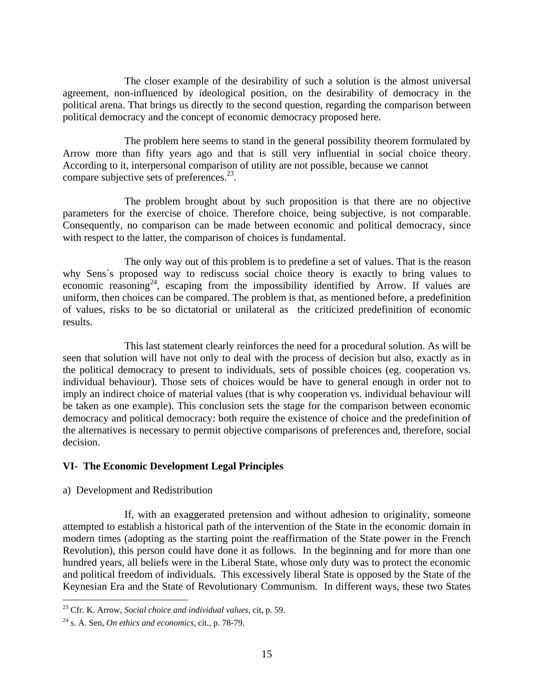The closer example of the desirability of such a solution is the almost universal agreement, non-influenced by ideological position, on the desirability of democracy in the political arena. That brings us directly to the second question, regarding the comparison between political democracy and the concept of economic democracy proposed here.

 The problem here seems to stand in the general possibility theorem formulated by Arrow more than fifty years ago and that is still very influential in social choice theory. According to it, interpersonal comparison of utility are not possible, because we cannot compare subjective sets of preferences.<sup>23</sup>.

 The problem brought about by such proposition is that there are no objective parameters for the exercise of choice. Therefore choice, being subjective, is not comparable. Consequently, no comparison can be made between economic and political democracy, since with respect to the latter, the comparison of choices is fundamental.

 The only way out of this problem is to predefine a set of values. That is the reason why Sens´s proposed way to rediscuss social choice theory is exactly to bring values to economic reasoning<sup>24</sup>, escaping from the impossibility identified by Arrow. If values are uniform, then choices can be compared. The problem is that, as mentioned before, a predefinition of values, risks to be so dictatorial or unilateral as the criticized predefinition of economic results.

 This last statement clearly reinforces the need for a procedural solution. As will be seen that solution will have not only to deal with the process of decision but also, exactly as in the political democracy to present to individuals, sets of possible choices (eg. cooperation vs. individual behaviour). Those sets of choices would be have to general enough in order not to imply an indirect choice of material values (that is why cooperation vs. individual behaviour will be taken as one example). This conclusion sets the stage for the comparison between economic democracy and political democracy: both require the existence of choice and the predefinition of the alternatives is necessary to permit objective comparisons of preferences and, therefore, social decision.

# **VI- The Economic Development Legal Principles**

a) Development and Redistribution

 If, with an exaggerated pretension and without adhesion to originality, someone attempted to establish a historical path of the intervention of the State in the economic domain in modern times (adopting as the starting point the reaffirmation of the State power in the French Revolution), this person could have done it as follows. In the beginning and for more than one hundred years, all beliefs were in the Liberal State, whose only duty was to protect the economic and political freedom of individuals. This excessively liberal State is opposed by the State of the Keynesian Era and the State of Revolutionary Communism. In different ways, these two States

<sup>23</sup> Cfr. K. Arrow, *Social choice and individual values,* cit, p. 59.

<sup>24</sup> s. A. Sen, *On ethics and economics*, cit., p. 78-79.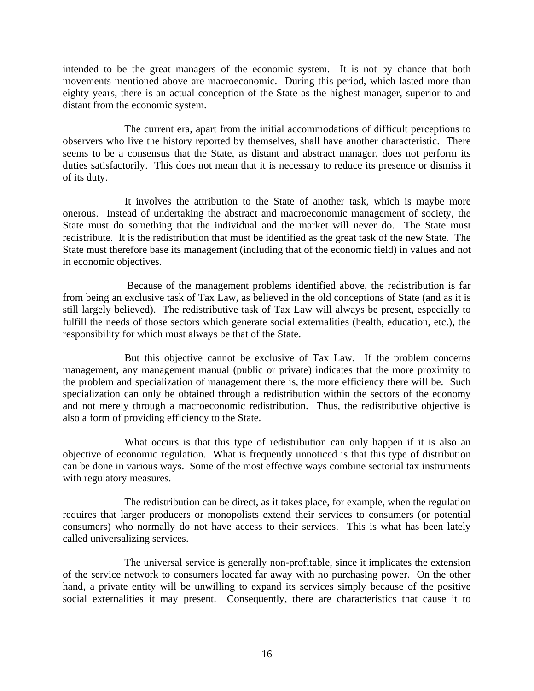intended to be the great managers of the economic system. It is not by chance that both movements mentioned above are macroeconomic. During this period, which lasted more than eighty years, there is an actual conception of the State as the highest manager, superior to and distant from the economic system.

 The current era, apart from the initial accommodations of difficult perceptions to observers who live the history reported by themselves, shall have another characteristic. There seems to be a consensus that the State, as distant and abstract manager, does not perform its duties satisfactorily. This does not mean that it is necessary to reduce its presence or dismiss it of its duty.

 It involves the attribution to the State of another task, which is maybe more onerous. Instead of undertaking the abstract and macroeconomic management of society, the State must do something that the individual and the market will never do. The State must redistribute. It is the redistribution that must be identified as the great task of the new State. The State must therefore base its management (including that of the economic field) in values and not in economic objectives.

 Because of the management problems identified above, the redistribution is far from being an exclusive task of Tax Law, as believed in the old conceptions of State (and as it is still largely believed). The redistributive task of Tax Law will always be present, especially to fulfill the needs of those sectors which generate social externalities (health, education, etc.), the responsibility for which must always be that of the State.

 But this objective cannot be exclusive of Tax Law. If the problem concerns management, any management manual (public or private) indicates that the more proximity to the problem and specialization of management there is, the more efficiency there will be. Such specialization can only be obtained through a redistribution within the sectors of the economy and not merely through a macroeconomic redistribution. Thus, the redistributive objective is also a form of providing efficiency to the State.

What occurs is that this type of redistribution can only happen if it is also an objective of economic regulation. What is frequently unnoticed is that this type of distribution can be done in various ways. Some of the most effective ways combine sectorial tax instruments with regulatory measures.

 The redistribution can be direct, as it takes place, for example, when the regulation requires that larger producers or monopolists extend their services to consumers (or potential consumers) who normally do not have access to their services. This is what has been lately called universalizing services.

 The universal service is generally non-profitable, since it implicates the extension of the service network to consumers located far away with no purchasing power. On the other hand, a private entity will be unwilling to expand its services simply because of the positive social externalities it may present. Consequently, there are characteristics that cause it to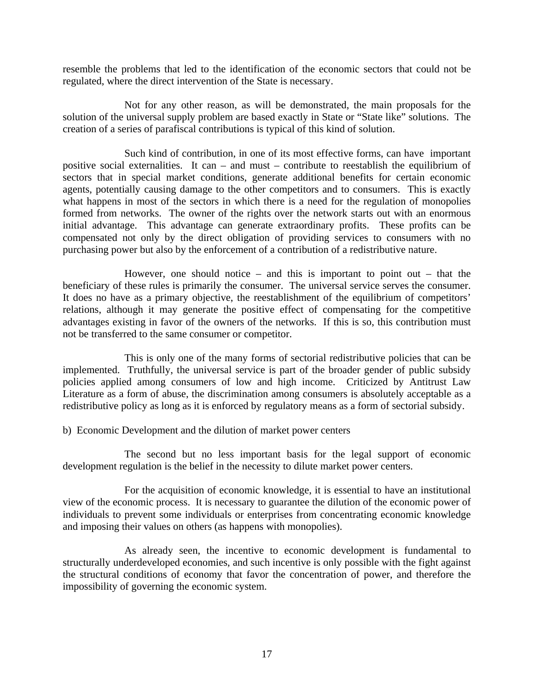resemble the problems that led to the identification of the economic sectors that could not be regulated, where the direct intervention of the State is necessary.

 Not for any other reason, as will be demonstrated, the main proposals for the solution of the universal supply problem are based exactly in State or "State like" solutions. The creation of a series of parafiscal contributions is typical of this kind of solution.

 Such kind of contribution, in one of its most effective forms, can have important positive social externalities. It can – and must – contribute to reestablish the equilibrium of sectors that in special market conditions, generate additional benefits for certain economic agents, potentially causing damage to the other competitors and to consumers. This is exactly what happens in most of the sectors in which there is a need for the regulation of monopolies formed from networks. The owner of the rights over the network starts out with an enormous initial advantage. This advantage can generate extraordinary profits. These profits can be compensated not only by the direct obligation of providing services to consumers with no purchasing power but also by the enforcement of a contribution of a redistributive nature.

However, one should notice – and this is important to point out – that the beneficiary of these rules is primarily the consumer. The universal service serves the consumer. It does no have as a primary objective, the reestablishment of the equilibrium of competitors' relations, although it may generate the positive effect of compensating for the competitive advantages existing in favor of the owners of the networks. If this is so, this contribution must not be transferred to the same consumer or competitor.

 This is only one of the many forms of sectorial redistributive policies that can be implemented. Truthfully, the universal service is part of the broader gender of public subsidy policies applied among consumers of low and high income. Criticized by Antitrust Law Literature as a form of abuse, the discrimination among consumers is absolutely acceptable as a redistributive policy as long as it is enforced by regulatory means as a form of sectorial subsidy.

b) Economic Development and the dilution of market power centers

 The second but no less important basis for the legal support of economic development regulation is the belief in the necessity to dilute market power centers.

 For the acquisition of economic knowledge, it is essential to have an institutional view of the economic process. It is necessary to guarantee the dilution of the economic power of individuals to prevent some individuals or enterprises from concentrating economic knowledge and imposing their values on others (as happens with monopolies).

 As already seen, the incentive to economic development is fundamental to structurally underdeveloped economies, and such incentive is only possible with the fight against the structural conditions of economy that favor the concentration of power, and therefore the impossibility of governing the economic system.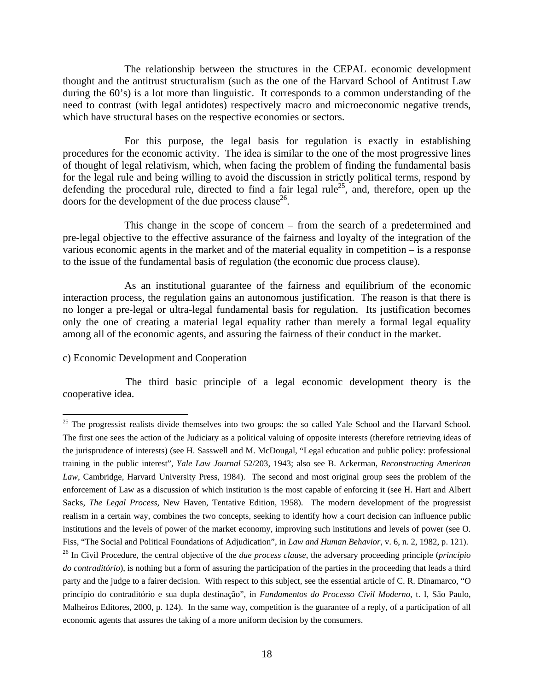The relationship between the structures in the CEPAL economic development thought and the antitrust structuralism (such as the one of the Harvard School of Antitrust Law during the 60's) is a lot more than linguistic. It corresponds to a common understanding of the need to contrast (with legal antidotes) respectively macro and microeconomic negative trends, which have structural bases on the respective economies or sectors.

 For this purpose, the legal basis for regulation is exactly in establishing procedures for the economic activity. The idea is similar to the one of the most progressive lines of thought of legal relativism, which, when facing the problem of finding the fundamental basis for the legal rule and being willing to avoid the discussion in strictly political terms, respond by defending the procedural rule, directed to find a fair legal rule<sup>25</sup>, and, therefore, open up the doors for the development of the due process clause<sup>26</sup>.

 This change in the scope of concern – from the search of a predetermined and pre-legal objective to the effective assurance of the fairness and loyalty of the integration of the various economic agents in the market and of the material equality in competition – is a response to the issue of the fundamental basis of regulation (the economic due process clause).

 As an institutional guarantee of the fairness and equilibrium of the economic interaction process, the regulation gains an autonomous justification. The reason is that there is no longer a pre-legal or ultra-legal fundamental basis for regulation. Its justification becomes only the one of creating a material legal equality rather than merely a formal legal equality among all of the economic agents, and assuring the fairness of their conduct in the market.

#### c) Economic Development and Cooperation

The third basic principle of a legal economic development theory is the cooperative idea.

 $\overline{a}$  $25$  The progressist realists divide themselves into two groups: the so called Yale School and the Harvard School. The first one sees the action of the Judiciary as a political valuing of opposite interests (therefore retrieving ideas of the jurisprudence of interests) (see H. Sasswell and M. McDougal, "Legal education and public policy: professional training in the public interest", *Yale Law Journal* 52/203, 1943; also see B. Ackerman, *Reconstructing American Law*, Cambridge, Harvard University Press, 1984). The second and most original group sees the problem of the enforcement of Law as a discussion of which institution is the most capable of enforcing it (see H. Hart and Albert Sacks, *The Legal Process*, New Haven, Tentative Edition, 1958). The modern development of the progressist realism in a certain way, combines the two concepts, seeking to identify how a court decision can influence public institutions and the levels of power of the market economy, improving such institutions and levels of power (see O. Fiss, "The Social and Political Foundations of Adjudication", in *Law and Human Behavior*, v. 6, n. 2, 1982, p. 121).

<sup>26</sup> In Civil Procedure, the central objective of the *due process clause*, the adversary proceeding principle (*princípio do contraditório*), is nothing but a form of assuring the participation of the parties in the proceeding that leads a third party and the judge to a fairer decision. With respect to this subject, see the essential article of C. R. Dinamarco, "O princípio do contraditório e sua dupla destinação", in *Fundamentos do Processo Civil Moderno*, t. I, São Paulo, Malheiros Editores, 2000, p. 124). In the same way, competition is the guarantee of a reply, of a participation of all economic agents that assures the taking of a more uniform decision by the consumers.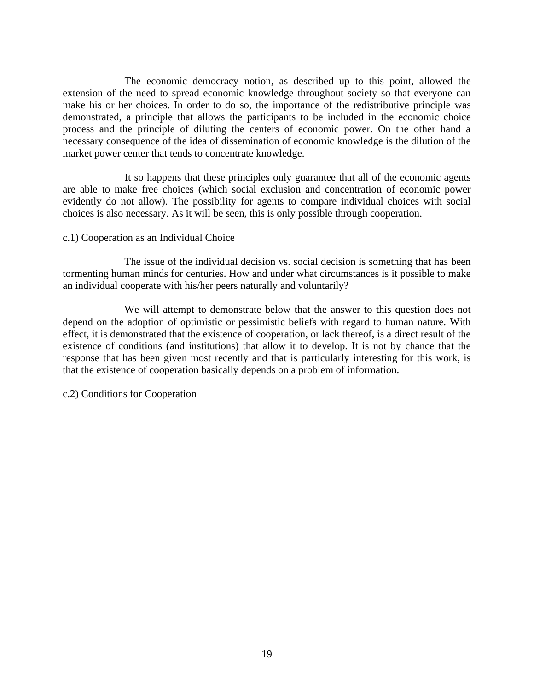The economic democracy notion, as described up to this point, allowed the extension of the need to spread economic knowledge throughout society so that everyone can make his or her choices. In order to do so, the importance of the redistributive principle was demonstrated, a principle that allows the participants to be included in the economic choice process and the principle of diluting the centers of economic power. On the other hand a necessary consequence of the idea of dissemination of economic knowledge is the dilution of the market power center that tends to concentrate knowledge.

 It so happens that these principles only guarantee that all of the economic agents are able to make free choices (which social exclusion and concentration of economic power evidently do not allow). The possibility for agents to compare individual choices with social choices is also necessary. As it will be seen, this is only possible through cooperation.

### c.1) Cooperation as an Individual Choice

 The issue of the individual decision vs. social decision is something that has been tormenting human minds for centuries. How and under what circumstances is it possible to make an individual cooperate with his/her peers naturally and voluntarily?

 We will attempt to demonstrate below that the answer to this question does not depend on the adoption of optimistic or pessimistic beliefs with regard to human nature. With effect, it is demonstrated that the existence of cooperation, or lack thereof, is a direct result of the existence of conditions (and institutions) that allow it to develop. It is not by chance that the response that has been given most recently and that is particularly interesting for this work, is that the existence of cooperation basically depends on a problem of information.

c.2) Conditions for Cooperation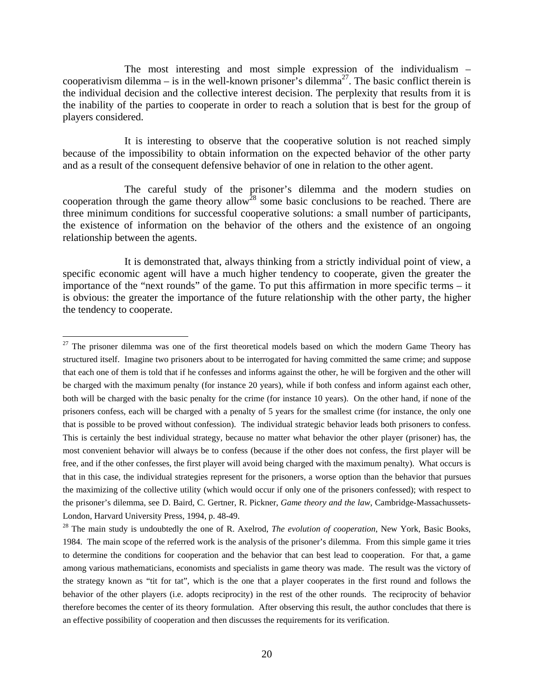The most interesting and most simple expression of the individualism – cooperativism dilemma – is in the well-known prisoner's dilemma<sup>27</sup>. The basic conflict therein is the individual decision and the collective interest decision. The perplexity that results from it is the inability of the parties to cooperate in order to reach a solution that is best for the group of players considered.

 It is interesting to observe that the cooperative solution is not reached simply because of the impossibility to obtain information on the expected behavior of the other party and as a result of the consequent defensive behavior of one in relation to the other agent.

 The careful study of the prisoner's dilemma and the modern studies on cooperation through the game theory allow<sup>28</sup> some basic conclusions to be reached. There are three minimum conditions for successful cooperative solutions: a small number of participants, the existence of information on the behavior of the others and the existence of an ongoing relationship between the agents.

 It is demonstrated that, always thinking from a strictly individual point of view, a specific economic agent will have a much higher tendency to cooperate, given the greater the importance of the "next rounds" of the game. To put this affirmation in more specific terms – it is obvious: the greater the importance of the future relationship with the other party, the higher the tendency to cooperate.

 $27$  The prisoner dilemma was one of the first theoretical models based on which the modern Game Theory has structured itself. Imagine two prisoners about to be interrogated for having committed the same crime; and suppose that each one of them is told that if he confesses and informs against the other, he will be forgiven and the other will be charged with the maximum penalty (for instance 20 years), while if both confess and inform against each other, both will be charged with the basic penalty for the crime (for instance 10 years). On the other hand, if none of the prisoners confess, each will be charged with a penalty of 5 years for the smallest crime (for instance, the only one that is possible to be proved without confession). The individual strategic behavior leads both prisoners to confess. This is certainly the best individual strategy, because no matter what behavior the other player (prisoner) has, the most convenient behavior will always be to confess (because if the other does not confess, the first player will be free, and if the other confesses, the first player will avoid being charged with the maximum penalty). What occurs is that in this case, the individual strategies represent for the prisoners, a worse option than the behavior that pursues the maximizing of the collective utility (which would occur if only one of the prisoners confessed); with respect to the prisoner's dilemma, see D. Baird, C. Gertner, R. Pickner, *Game theory and the law*, Cambridge-Massachussets-London, Harvard University Press, 1994, p. 48-49.

<sup>28</sup> The main study is undoubtedly the one of R. Axelrod, *The evolution of cooperation*, New York, Basic Books, 1984. The main scope of the referred work is the analysis of the prisoner's dilemma. From this simple game it tries to determine the conditions for cooperation and the behavior that can best lead to cooperation. For that, a game among various mathematicians, economists and specialists in game theory was made. The result was the victory of the strategy known as "tit for tat", which is the one that a player cooperates in the first round and follows the behavior of the other players (i.e. adopts reciprocity) in the rest of the other rounds. The reciprocity of behavior therefore becomes the center of its theory formulation. After observing this result, the author concludes that there is an effective possibility of cooperation and then discusses the requirements for its verification.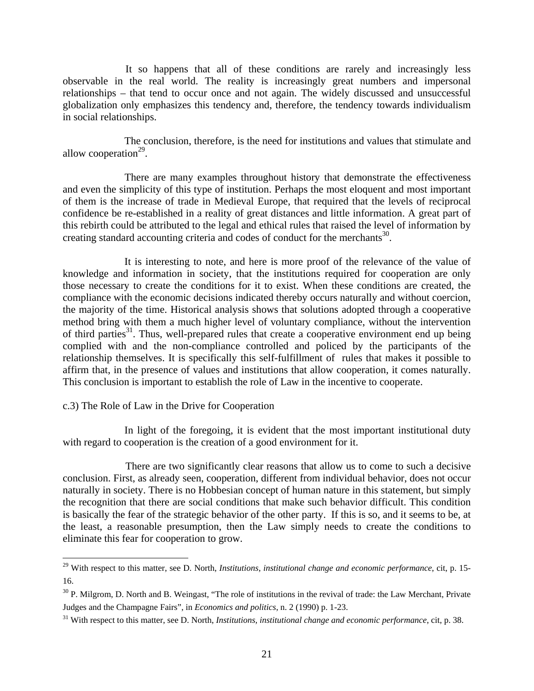It so happens that all of these conditions are rarely and increasingly less observable in the real world. The reality is increasingly great numbers and impersonal relationships – that tend to occur once and not again. The widely discussed and unsuccessful globalization only emphasizes this tendency and, therefore, the tendency towards individualism in social relationships.

 The conclusion, therefore, is the need for institutions and values that stimulate and allow cooperation $^{29}$ .

There are many examples throughout history that demonstrate the effectiveness and even the simplicity of this type of institution. Perhaps the most eloquent and most important of them is the increase of trade in Medieval Europe, that required that the levels of reciprocal confidence be re-established in a reality of great distances and little information. A great part of this rebirth could be attributed to the legal and ethical rules that raised the level of information by creating standard accounting criteria and codes of conduct for the merchants<sup>30</sup>.

 It is interesting to note, and here is more proof of the relevance of the value of knowledge and information in society, that the institutions required for cooperation are only those necessary to create the conditions for it to exist. When these conditions are created, the compliance with the economic decisions indicated thereby occurs naturally and without coercion, the majority of the time. Historical analysis shows that solutions adopted through a cooperative method bring with them a much higher level of voluntary compliance, without the intervention of third parties<sup>31</sup>. Thus, well-prepared rules that create a cooperative environment end up being complied with and the non-compliance controlled and policed by the participants of the relationship themselves. It is specifically this self-fulfillment of rules that makes it possible to affirm that, in the presence of values and institutions that allow cooperation, it comes naturally. This conclusion is important to establish the role of Law in the incentive to cooperate.

#### c.3) The Role of Law in the Drive for Cooperation

 $\overline{a}$ 

 In light of the foregoing, it is evident that the most important institutional duty with regard to cooperation is the creation of a good environment for it.

There are two significantly clear reasons that allow us to come to such a decisive conclusion. First, as already seen, cooperation, different from individual behavior, does not occur naturally in society. There is no Hobbesian concept of human nature in this statement, but simply the recognition that there are social conditions that make such behavior difficult. This condition is basically the fear of the strategic behavior of the other party. If this is so, and it seems to be, at the least, a reasonable presumption, then the Law simply needs to create the conditions to eliminate this fear for cooperation to grow.

<sup>29</sup> With respect to this matter, see D. North, *Institutions, institutional change and economic performance*, cit, p. 15- 16.

 $30$  P. Milgrom, D. North and B. Weingast, "The role of institutions in the revival of trade: the Law Merchant, Private Judges and the Champagne Fairs", in *Economics and politics*, n. 2 (1990) p. 1-23.

<sup>31</sup> With respect to this matter, see D. North, *Institutions, institutional change and economic performance*, cit, p. 38.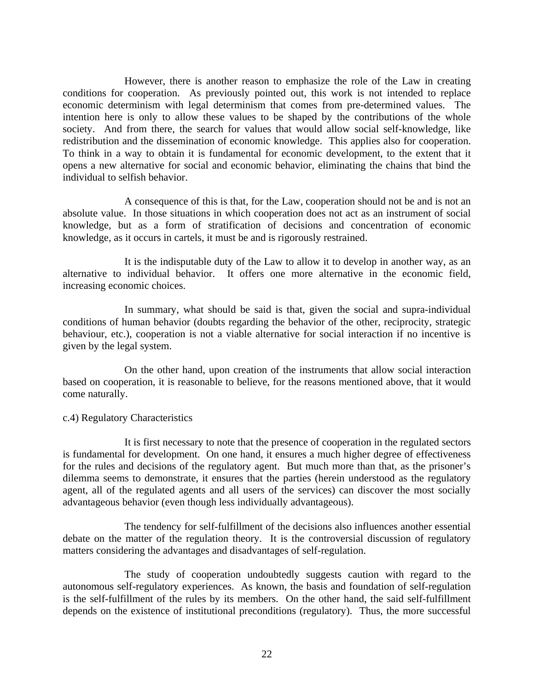However, there is another reason to emphasize the role of the Law in creating conditions for cooperation. As previously pointed out, this work is not intended to replace economic determinism with legal determinism that comes from pre-determined values. The intention here is only to allow these values to be shaped by the contributions of the whole society. And from there, the search for values that would allow social self-knowledge, like redistribution and the dissemination of economic knowledge. This applies also for cooperation. To think in a way to obtain it is fundamental for economic development, to the extent that it opens a new alternative for social and economic behavior, eliminating the chains that bind the individual to selfish behavior.

 A consequence of this is that, for the Law, cooperation should not be and is not an absolute value. In those situations in which cooperation does not act as an instrument of social knowledge, but as a form of stratification of decisions and concentration of economic knowledge, as it occurs in cartels, it must be and is rigorously restrained.

 It is the indisputable duty of the Law to allow it to develop in another way, as an alternative to individual behavior. It offers one more alternative in the economic field, increasing economic choices.

 In summary, what should be said is that, given the social and supra-individual conditions of human behavior (doubts regarding the behavior of the other, reciprocity, strategic behaviour, etc.), cooperation is not a viable alternative for social interaction if no incentive is given by the legal system.

 On the other hand, upon creation of the instruments that allow social interaction based on cooperation, it is reasonable to believe, for the reasons mentioned above, that it would come naturally.

#### c.4) Regulatory Characteristics

 It is first necessary to note that the presence of cooperation in the regulated sectors is fundamental for development. On one hand, it ensures a much higher degree of effectiveness for the rules and decisions of the regulatory agent. But much more than that, as the prisoner's dilemma seems to demonstrate, it ensures that the parties (herein understood as the regulatory agent, all of the regulated agents and all users of the services) can discover the most socially advantageous behavior (even though less individually advantageous).

 The tendency for self-fulfillment of the decisions also influences another essential debate on the matter of the regulation theory. It is the controversial discussion of regulatory matters considering the advantages and disadvantages of self-regulation.

 The study of cooperation undoubtedly suggests caution with regard to the autonomous self-regulatory experiences. As known, the basis and foundation of self-regulation is the self-fulfillment of the rules by its members. On the other hand, the said self-fulfillment depends on the existence of institutional preconditions (regulatory). Thus, the more successful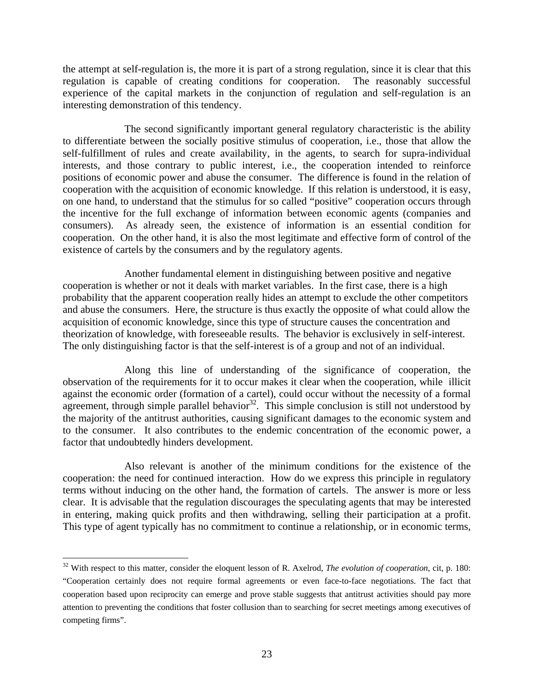the attempt at self-regulation is, the more it is part of a strong regulation, since it is clear that this regulation is capable of creating conditions for cooperation. The reasonably successful experience of the capital markets in the conjunction of regulation and self-regulation is an interesting demonstration of this tendency.

 The second significantly important general regulatory characteristic is the ability to differentiate between the socially positive stimulus of cooperation, i.e., those that allow the self-fulfillment of rules and create availability, in the agents, to search for supra-individual interests, and those contrary to public interest, i.e., the cooperation intended to reinforce positions of economic power and abuse the consumer. The difference is found in the relation of cooperation with the acquisition of economic knowledge. If this relation is understood, it is easy, on one hand, to understand that the stimulus for so called "positive" cooperation occurs through the incentive for the full exchange of information between economic agents (companies and consumers). As already seen, the existence of information is an essential condition for cooperation. On the other hand, it is also the most legitimate and effective form of control of the existence of cartels by the consumers and by the regulatory agents.

 Another fundamental element in distinguishing between positive and negative cooperation is whether or not it deals with market variables. In the first case, there is a high probability that the apparent cooperation really hides an attempt to exclude the other competitors and abuse the consumers. Here, the structure is thus exactly the opposite of what could allow the acquisition of economic knowledge, since this type of structure causes the concentration and theorization of knowledge, with foreseeable results. The behavior is exclusively in self-interest. The only distinguishing factor is that the self-interest is of a group and not of an individual.

 Along this line of understanding of the significance of cooperation, the observation of the requirements for it to occur makes it clear when the cooperation, while illicit against the economic order (formation of a cartel), could occur without the necessity of a formal agreement, through simple parallel behavior<sup>32</sup>. This simple conclusion is still not understood by the majority of the antitrust authorities, causing significant damages to the economic system and to the consumer. It also contributes to the endemic concentration of the economic power, a factor that undoubtedly hinders development.

 Also relevant is another of the minimum conditions for the existence of the cooperation: the need for continued interaction. How do we express this principle in regulatory terms without inducing on the other hand, the formation of cartels. The answer is more or less clear. It is advisable that the regulation discourages the speculating agents that may be interested in entering, making quick profits and then withdrawing, selling their participation at a profit. This type of agent typically has no commitment to continue a relationship, or in economic terms,

<sup>32</sup> With respect to this matter, consider the eloquent lesson of R. Axelrod, *The evolution of cooperation*, cit, p. 180: "Cooperation certainly does not require formal agreements or even face-to-face negotiations. The fact that cooperation based upon reciprocity can emerge and prove stable suggests that antitrust activities should pay more attention to preventing the conditions that foster collusion than to searching for secret meetings among executives of competing firms".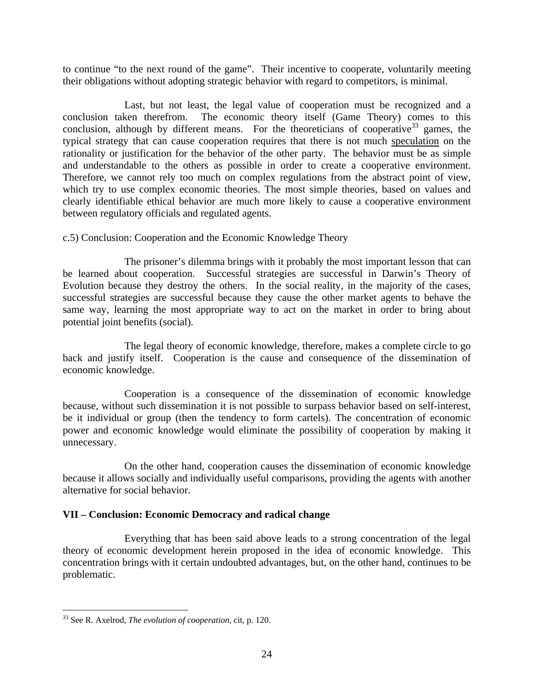to continue "to the next round of the game". Their incentive to cooperate, voluntarily meeting their obligations without adopting strategic behavior with regard to competitors, is minimal.

 Last, but not least, the legal value of cooperation must be recognized and a conclusion taken therefrom. The economic theory itself (Game Theory) comes to this conclusion, although by different means. For the theoreticians of cooperative<sup>33</sup> games, the typical strategy that can cause cooperation requires that there is not much speculation on the rationality or justification for the behavior of the other party. The behavior must be as simple and understandable to the others as possible in order to create a cooperative environment. Therefore, we cannot rely too much on complex regulations from the abstract point of view, which try to use complex economic theories. The most simple theories, based on values and clearly identifiable ethical behavior are much more likely to cause a cooperative environment between regulatory officials and regulated agents.

c.5) Conclusion: Cooperation and the Economic Knowledge Theory

 The prisoner's dilemma brings with it probably the most important lesson that can be learned about cooperation. Successful strategies are successful in Darwin's Theory of Evolution because they destroy the others. In the social reality, in the majority of the cases, successful strategies are successful because they cause the other market agents to behave the same way, learning the most appropriate way to act on the market in order to bring about potential joint benefits (social).

 The legal theory of economic knowledge, therefore, makes a complete circle to go back and justify itself. Cooperation is the cause and consequence of the dissemination of economic knowledge.

 Cooperation is a consequence of the dissemination of economic knowledge because, without such dissemination it is not possible to surpass behavior based on self-interest, be it individual or group (then the tendency to form cartels). The concentration of economic power and economic knowledge would eliminate the possibility of cooperation by making it unnecessary.

 On the other hand, cooperation causes the dissemination of economic knowledge because it allows socially and individually useful comparisons, providing the agents with another alternative for social behavior.

# **VII – Conclusion: Economic Democracy and radical change**

 Everything that has been said above leads to a strong concentration of the legal theory of economic development herein proposed in the idea of economic knowledge. This concentration brings with it certain undoubted advantages, but, on the other hand, continues to be problematic.

<sup>33</sup> See R. Axelrod, *The evolution of cooperation*, cit, p. 120.